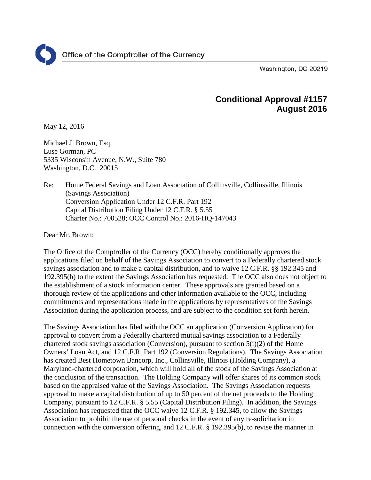Washington, DC 20219

# **Conditional Approval #1157 August 2016**

May 12, 2016

Michael J. Brown, Esq. Luse Gorman, PC 5335 Wisconsin Avenue, N.W., Suite 780 Washington, D.C. 20015

Re: Home Federal Savings and Loan Association of Collinsville, Collinsville, Illinois (Savings Association) Conversion Application Under 12 C.F.R. Part 192 Capital Distribution Filing Under 12 C.F.R. § 5.55 Charter No.: 700528; OCC Control No.: 2016-HQ-147043

Dear Mr. Brown:

The Office of the Comptroller of the Currency (OCC) hereby conditionally approves the applications filed on behalf of the Savings Association to convert to a Federally chartered stock savings association and to make a capital distribution, and to waive 12 C.F.R. §§ 192.345 and 192.395(b) to the extent the Savings Association has requested. The OCC also does not object to the establishment of a stock information center. These approvals are granted based on a thorough review of the applications and other information available to the OCC, including commitments and representations made in the applications by representatives of the Savings Association during the application process, and are subject to the condition set forth herein.

The Savings Association has filed with the OCC an application (Conversion Application) for approval to convert from a Federally chartered mutual savings association to a Federally chartered stock savings association (Conversion), pursuant to section 5(i)(2) of the Home Owners' Loan Act, and 12 C.F.R. Part 192 (Conversion Regulations). The Savings Association has created Best Hometown Bancorp, Inc., Collinsville, Illinois (Holding Company), a Maryland-chartered corporation, which will hold all of the stock of the Savings Association at the conclusion of the transaction. The Holding Company will offer shares of its common stock based on the appraised value of the Savings Association. The Savings Association requests approval to make a capital distribution of up to 50 percent of the net proceeds to the Holding Company, pursuant to 12 C.F.R. § 5.55 (Capital Distribution Filing). In addition, the Savings Association has requested that the OCC waive 12 C.F.R. § 192.345, to allow the Savings Association to prohibit the use of personal checks in the event of any re-solicitation in connection with the conversion offering, and 12 C.F.R. § 192.395(b), to revise the manner in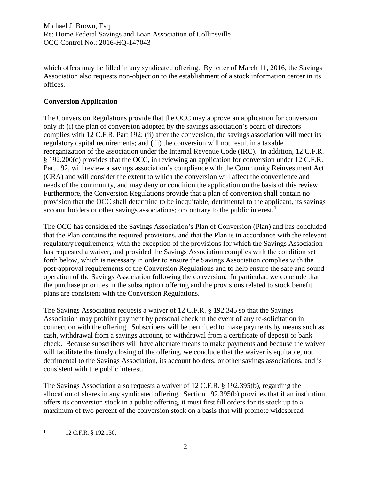Michael J. Brown, Esq. Re: Home Federal Savings and Loan Association of Collinsville OCC Control No.: 2016-HQ-147043

which offers may be filled in any syndicated offering. By letter of March 11, 2016, the Savings Association also requests non-objection to the establishment of a stock information center in its offices.

## **Conversion Application**

The Conversion Regulations provide that the OCC may approve an application for conversion only if: (i) the plan of conversion adopted by the savings association's board of directors complies with 12 C.F.R. Part 192; (ii) after the conversion, the savings association will meet its regulatory capital requirements; and (iii) the conversion will not result in a taxable reorganization of the association under the Internal Revenue Code (IRC). In addition, 12 C.F.R. § 192.200(c) provides that the OCC, in reviewing an application for conversion under 12 C.F.R. Part 192, will review a savings association's compliance with the Community Reinvestment Act (CRA) and will consider the extent to which the conversion will affect the convenience and needs of the community, and may deny or condition the application on the basis of this review. Furthermore, the Conversion Regulations provide that a plan of conversion shall contain no provision that the OCC shall determine to be inequitable; detrimental to the applicant, its savings account holders or other savings associations; or contrary to the public interest.<sup>[1](#page-1-0)</sup>

The OCC has considered the Savings Association's Plan of Conversion (Plan) and has concluded that the Plan contains the required provisions, and that the Plan is in accordance with the relevant regulatory requirements, with the exception of the provisions for which the Savings Association has requested a waiver, and provided the Savings Association complies with the condition set forth below, which is necessary in order to ensure the Savings Association complies with the post-approval requirements of the Conversion Regulations and to help ensure the safe and sound operation of the Savings Association following the conversion. In particular, we conclude that the purchase priorities in the subscription offering and the provisions related to stock benefit plans are consistent with the Conversion Regulations.

The Savings Association requests a waiver of 12 C.F.R. § 192.345 so that the Savings Association may prohibit payment by personal check in the event of any re-solicitation in connection with the offering. Subscribers will be permitted to make payments by means such as cash, withdrawal from a savings account, or withdrawal from a certificate of deposit or bank check. Because subscribers will have alternate means to make payments and because the waiver will facilitate the timely closing of the offering, we conclude that the waiver is equitable, not detrimental to the Savings Association, its account holders, or other savings associations, and is consistent with the public interest.

The Savings Association also requests a waiver of 12 C.F.R. § 192.395(b), regarding the allocation of shares in any syndicated offering. Section 192.395(b) provides that if an institution offers its conversion stock in a public offering, it must first fill orders for its stock up to a maximum of two percent of the conversion stock on a basis that will promote widespread

<span id="page-1-0"></span> $1 \quad 12 \text{ C.F.R. }$  \$ 192.130.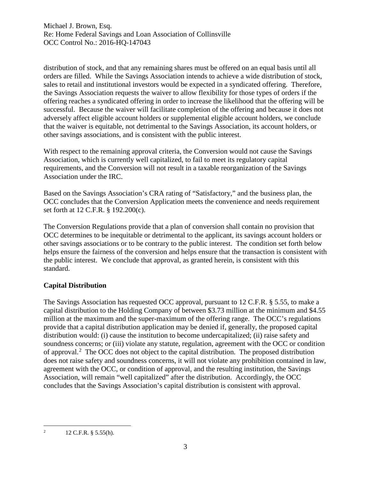distribution of stock, and that any remaining shares must be offered on an equal basis until all orders are filled. While the Savings Association intends to achieve a wide distribution of stock, sales to retail and institutional investors would be expected in a syndicated offering. Therefore, the Savings Association requests the waiver to allow flexibility for those types of orders if the offering reaches a syndicated offering in order to increase the likelihood that the offering will be successful. Because the waiver will facilitate completion of the offering and because it does not adversely affect eligible account holders or supplemental eligible account holders, we conclude that the waiver is equitable, not detrimental to the Savings Association, its account holders, or other savings associations, and is consistent with the public interest.

With respect to the remaining approval criteria, the Conversion would not cause the Savings Association, which is currently well capitalized, to fail to meet its regulatory capital requirements, and the Conversion will not result in a taxable reorganization of the Savings Association under the IRC.

Based on the Savings Association's CRA rating of "Satisfactory," and the business plan, the OCC concludes that the Conversion Application meets the convenience and needs requirement set forth at 12 C.F.R. § 192.200(c).

The Conversion Regulations provide that a plan of conversion shall contain no provision that OCC determines to be inequitable or detrimental to the applicant, its savings account holders or other savings associations or to be contrary to the public interest. The condition set forth below helps ensure the fairness of the conversion and helps ensure that the transaction is consistent with the public interest. We conclude that approval, as granted herein, is consistent with this standard.

## **Capital Distribution**

The Savings Association has requested OCC approval, pursuant to 12 C.F.R. § 5.55, to make a capital distribution to the Holding Company of between \$3.73 million at the minimum and \$4.55 million at the maximum and the super-maximum of the offering range. The OCC's regulations provide that a capital distribution application may be denied if, generally, the proposed capital distribution would: (i) cause the institution to become undercapitalized; (ii) raise safety and soundness concerns; or (iii) violate any statute, regulation, agreement with the OCC or condition of approval.<sup>[2](#page-2-0)</sup> The OCC does not object to the capital distribution. The proposed distribution does not raise safety and soundness concerns, it will not violate any prohibition contained in law, agreement with the OCC, or condition of approval, and the resulting institution, the Savings Association, will remain "well capitalized" after the distribution. Accordingly, the OCC concludes that the Savings Association's capital distribution is consistent with approval.

<span id="page-2-0"></span><sup>&</sup>lt;sup>2</sup> 12 C.F.R. § 5.55(h).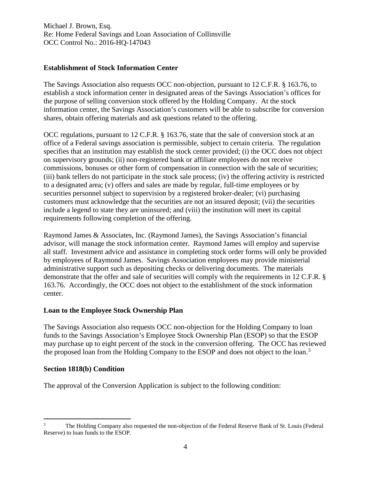Michael J. Brown, Esq. Re: Home Federal Savings and Loan Association of Collinsville OCC Control No.: 2016-HQ-147043

#### **Establishment of Stock Information Center**

The Savings Association also requests OCC non-objection, pursuant to 12 C.F.R. § 163.76, to establish a stock information center in designated areas of the Savings Association's offices for the purpose of selling conversion stock offered by the Holding Company. At the stock information center, the Savings Association's customers will be able to subscribe for conversion shares, obtain offering materials and ask questions related to the offering.

OCC regulations, pursuant to 12 C.F.R. § 163.76, state that the sale of conversion stock at an office of a Federal savings association is permissible, subject to certain criteria. The regulation specifies that an institution may establish the stock center provided; (i) the OCC does not object on supervisory grounds; (ii) non-registered bank or affiliate employees do not receive commissions, bonuses or other form of compensation in connection with the sale of securities; (iii) bank tellers do not participate in the stock sale process; (iv) the offering activity is restricted to a designated area; (v) offers and sales are made by regular, full-time employees or by securities personnel subject to supervision by a registered broker-dealer; (vi) purchasing customers must acknowledge that the securities are not an insured deposit; (vii) the securities include a legend to state they are uninsured; and (viii) the institution will meet its capital requirements following completion of the offering.

Raymond James & Associates, Inc. (Raymond James), the Savings Association's financial advisor, will manage the stock information center. Raymond James will employ and supervise all staff. Investment advice and assistance in completing stock order forms will only be provided by employees of Raymond James. Savings Association employees may provide ministerial administrative support such as depositing checks or delivering documents. The materials demonstrate that the offer and sale of securities will comply with the requirements in 12 C.F.R. § 163.76. Accordingly, the OCC does not object to the establishment of the stock information center.

#### **Loan to the Employee Stock Ownership Plan**

The Savings Association also requests OCC non-objection for the Holding Company to loan funds to the Savings Association's Employee Stock Ownership Plan (ESOP) so that the ESOP may purchase up to eight percent of the stock in the conversion offering. The OCC has reviewed the proposed loan from the Holding Company to the ESOP and does not object to the loan.<sup>[3](#page-3-0)</sup>

#### **Section 1818(b) Condition**

The approval of the Conversion Application is subject to the following condition:

<span id="page-3-0"></span><sup>&</sup>lt;sup>3</sup> The Holding Company also requested the non-objection of the Federal Reserve Bank of St. Louis (Federal Reserve) to loan funds to the ESOP.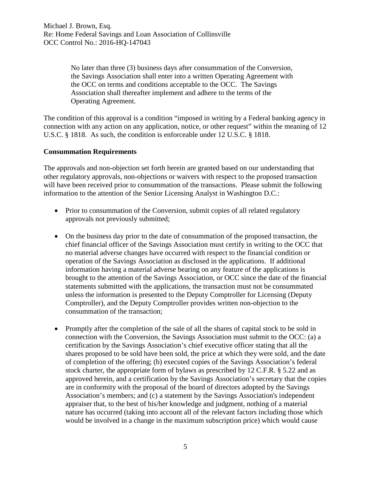No later than three (3) business days after consummation of the Conversion, the Savings Association shall enter into a written Operating Agreement with the OCC on terms and conditions acceptable to the OCC. The Savings Association shall thereafter implement and adhere to the terms of the Operating Agreement.

The condition of this approval is a condition "imposed in writing by a Federal banking agency in connection with any action on any application, notice, or other request" within the meaning of 12 U.S.C. § 1818. As such, the condition is enforceable under 12 U.S.C. § 1818.

## **Consummation Requirements**

The approvals and non-objection set forth herein are granted based on our understanding that other regulatory approvals, non-objections or waivers with respect to the proposed transaction will have been received prior to consummation of the transactions. Please submit the following information to the attention of the Senior Licensing Analyst in Washington D.C.:

- Prior to consummation of the Conversion, submit copies of all related regulatory approvals not previously submitted;
- On the business day prior to the date of consummation of the proposed transaction, the chief financial officer of the Savings Association must certify in writing to the OCC that no material adverse changes have occurred with respect to the financial condition or operation of the Savings Association as disclosed in the applications. If additional information having a material adverse bearing on any feature of the applications is brought to the attention of the Savings Association, or OCC since the date of the financial statements submitted with the applications, the transaction must not be consummated unless the information is presented to the Deputy Comptroller for Licensing (Deputy Comptroller), and the Deputy Comptroller provides written non-objection to the consummation of the transaction;
- Promptly after the completion of the sale of all the shares of capital stock to be sold in connection with the Conversion, the Savings Association must submit to the OCC: (a) a certification by the Savings Association's chief executive officer stating that all the shares proposed to be sold have been sold, the price at which they were sold, and the date of completion of the offering; (b) executed copies of the Savings Association's federal stock charter, the appropriate form of bylaws as prescribed by 12 C.F.R. § 5.22 and as approved herein, and a certification by the Savings Association's secretary that the copies are in conformity with the proposal of the board of directors adopted by the Savings Association's members; and (c) a statement by the Savings Association's independent appraiser that, to the best of his/her knowledge and judgment, nothing of a material nature has occurred (taking into account all of the relevant factors including those which would be involved in a change in the maximum subscription price) which would cause